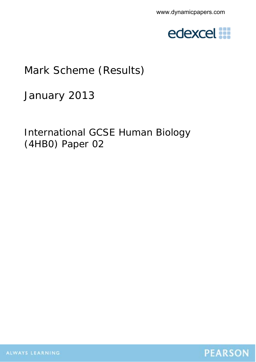

## Mark Scheme (Results)

January 2013

International GCSE Human Biology (4HB0) Paper 02

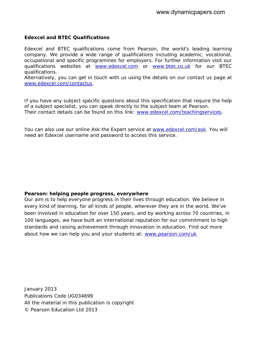## **Edexcel and BTEC Qualifications**

Edexcel and BTEC qualifications come from Pearson, the world's leading learning company. We provide a wide range of qualifications including academic, vocational, occupational and specific programmes for employers. For further information visit our qualifications websites at www.edexcel.com or www.btec.co.uk for our BTEC qualifications.

Alternatively, you can get in touch with us using the details on our contact us page at www.edexcel.com/contactus.

If you have any subject specific questions about this specification that require the help of a subject specialist, you can speak directly to the subject team at Pearson. Their contact details can be found on this link: www.edexcel.com/teachingservices.

You can also use our online Ask the Expert service at www.edexcel.com/ask. You will need an Edexcel username and password to access this service.

## **Pearson: helping people progress, everywhere**

Our aim is to help everyone progress in their lives through education. We believe in every kind of learning, for all kinds of people, wherever they are in the world. We've been involved in education for over 150 years, and by working across 70 countries, in 100 languages, we have built an international reputation for our commitment to high standards and raising achievement through innovation in education. Find out more about how we can help you and your students at: www.pearson.com/uk

January 2013 Publications Code UG034699 All the material in this publication is copyright © Pearson Education Ltd 2013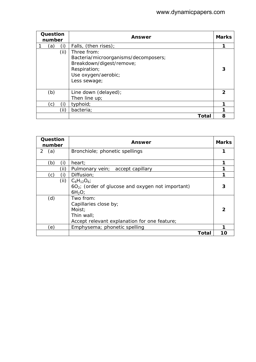| Question<br>number |     |      | Answer                                                                                                                                 | <b>Marks</b> |
|--------------------|-----|------|----------------------------------------------------------------------------------------------------------------------------------------|--------------|
|                    | (a) | (i)  | Falls, (then rises);                                                                                                                   |              |
|                    |     | (ii) | Three from:<br>Bacteria/microorganisms/decomposers;<br>Breakdown/digest/remove;<br>Respiration;<br>Use oxygen/aerobic;<br>Less sewage; | 3            |
|                    | (b) |      | Line down (delayed);<br>Then line $up_i$                                                                                               | 2            |
|                    | (c) | Ð    | typhoid;                                                                                                                               |              |
|                    |     | (ii) | bacteria;                                                                                                                              |              |
|                    |     |      | Total                                                                                                                                  | 8            |

| Question<br>number | Answer                                                                                                     | <b>Marks</b> |
|--------------------|------------------------------------------------------------------------------------------------------------|--------------|
| 2<br>(a)           | Bronchiole; phonetic spellings                                                                             |              |
| (i)<br>(b)         | heart;                                                                                                     |              |
| (ii)               | accept capillary<br>Pulmonary vein;                                                                        |              |
| (i)<br>(c)         | Diffusion;                                                                                                 |              |
| (ii)               | $C_6H_{12}O_6$<br>$6O2$ ; (order of glucose and oxygen not important)<br>6H <sub>2</sub> O                 |              |
| (d)                | Two from:<br>Capillaries close by;<br>Moist;<br>Thin wall:<br>Accept relevant explanation for one feature; | 2            |
| (e)                | Emphysema; phonetic spelling                                                                               |              |
|                    | Total                                                                                                      | 10           |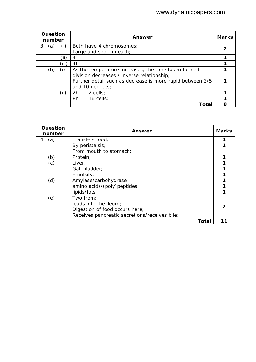| Question<br>number |     |       | Answer                                                    | <b>Marks</b> |
|--------------------|-----|-------|-----------------------------------------------------------|--------------|
| 3                  | (a) | (i)   | Both have 4 chromosomes:                                  |              |
|                    |     |       | Large and short in each;                                  |              |
|                    |     | (ii)  | 4                                                         |              |
|                    |     | (iii) | 46                                                        |              |
|                    | (b) | (i)   | As the temperature increases, the time taken for cell     |              |
|                    |     |       | division decreases / inverse relationship;                |              |
|                    |     |       | Further detail such as decrease is more rapid between 3/5 |              |
|                    |     |       | and 10 degrees;                                           |              |
|                    |     | (ii)  | 2h<br>2 cells;                                            |              |
|                    |     |       | 8h<br>16 cells;                                           |              |
|                    |     |       | Total                                                     | 8            |

| Question<br>number | Answer                                        | <b>Marks</b> |
|--------------------|-----------------------------------------------|--------------|
| (a)<br>4           | Transfers food;                               |              |
|                    | By peristalsis;                               |              |
|                    | From mouth to stomach;                        |              |
| (b)                | Protein;                                      |              |
| (c)                | Liver;                                        |              |
|                    | Gall bladder;                                 |              |
|                    | Emulsify;                                     |              |
| (d)                | Amylase/carbohydrase                          |              |
|                    | amino acids/(poly)peptides                    |              |
|                    | lipids/fats                                   |              |
| (e)                | Two from:                                     |              |
|                    | leads into the ileum;                         |              |
|                    | Digestion of food occurs here;                |              |
|                    | Receives pancreatic secretions/receives bile; |              |
|                    | Total                                         |              |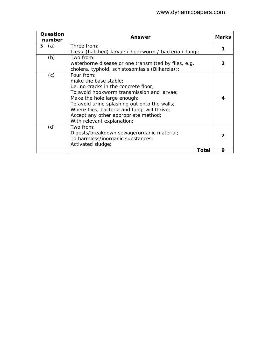| Question<br>number | Answer                                                                                                                                                                                                                                                                                                                          | <b>Marks</b> |
|--------------------|---------------------------------------------------------------------------------------------------------------------------------------------------------------------------------------------------------------------------------------------------------------------------------------------------------------------------------|--------------|
| 5<br>(a)           | Three from:                                                                                                                                                                                                                                                                                                                     | 1            |
| (b)                | flies / (hatched) larvae / hookworm / bacteria / fungi;<br>Two from:<br>waterborne disease or one transmitted by flies, e.g.<br>cholera, typhoid, schistosomiasis (Bilharzia);;                                                                                                                                                 |              |
| (c)                | Four from:<br>make the base stable;<br>i.e. no cracks in the concrete floor;<br>To avoid hookworm transmission and larvae;<br>Make the hole large enough;<br>To avoid urine splashing out onto the walls;<br>Where flies, bacteria and fungi will thrive;<br>Accept any other appropriate method;<br>With relevant explanation; |              |
| (d)                | Two from:<br>Digests/breakdown sewage/organic material;<br>To harmless/inorganic substances;<br>Activated sludge;                                                                                                                                                                                                               | 2            |
|                    | Total                                                                                                                                                                                                                                                                                                                           | 9            |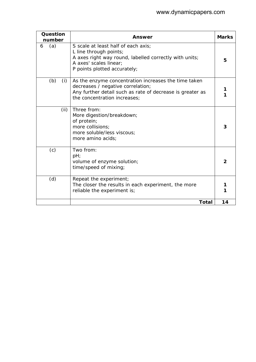| Question<br>number | Answer                                                                                                                                                                                 | <b>Marks</b> |
|--------------------|----------------------------------------------------------------------------------------------------------------------------------------------------------------------------------------|--------------|
| (a)<br>6           | S scale at least half of each axis:<br>L line through points;<br>A axes right way round, labelled correctly with units;<br>A axes' scales linear:<br>P points plotted accurately;      | 5            |
| (b)<br>(i)         | As the enzyme concentration increases the time taken<br>decreases / negative correlation;<br>Any further detail such as rate of decrease is greater as<br>the concentration increases; |              |
| (ii)               | Three from:<br>More digestion/breakdown;<br>of protein;<br>more collisions;<br>more soluble/less viscous;<br>more amino acids;                                                         | 3            |
| (c)                | Two from:<br>pH;<br>volume of enzyme solution;<br>time/speed of mixing;                                                                                                                | 2            |
| (d)                | Repeat the experiment;<br>The closer the results in each experiment, the more<br>reliable the experiment is;                                                                           |              |
|                    | <b>Total</b>                                                                                                                                                                           | 14           |